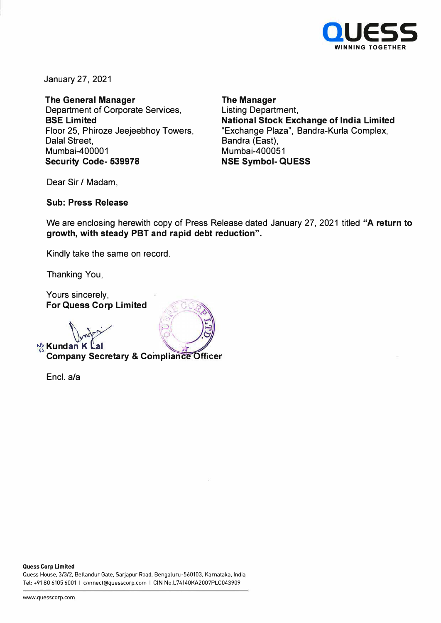

January 27, 2021

**The General Manager**  Department of Corporate Services, **BSE Limited**  Floor 25, Phiroze Jeejeebhoy Towers, Dalal Street, Mumbai-400001 **Security Code- 539978** 

**The Manager**  Listing Department, **National Stock Exchange of India Limited**  "Exchange Plaza", Bandra-Kurla Complex, Bandra (East), Mumbai-400051 **NSE Symbol- QUESS** 

Dear Sir / Madam,

#### **Sub: Press Release**

We are enclosing herewith copy of Press Release dated January 27, 2021 titled **"A return to growth, with steady PBT and rapid debt reduction".** 

Kindly take the same on record.

Thanking You,

Yours sincerely, **For Quess Corp Limited** 

**N<sub>2</sub> Kundan K L** 

# **Company Secretary & Compliance Officer**

Encl. a/a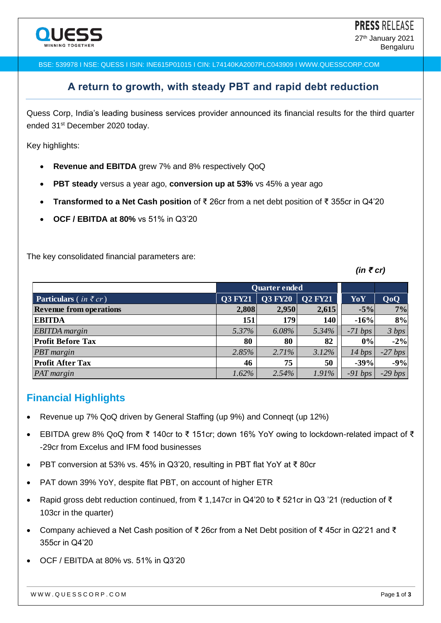BSE: 539978 I NSE: QUESS I ISIN: INE615P01015 I CIN: L74140KA2007PLC043909 I WWW.QUESSCORP.COM

#### **A return to growth, with steady PBT and rapid debt reduction**

Quess Corp, India's leading business services provider announced its financial results for the third quarter ended 31<sup>st</sup> December 2020 today.

Key highlights:

- **Revenue and EBITDA** grew 7% and 8% respectively QoQ
- **PBT steady** versus a year ago, **conversion up at 53%** vs 45% a year ago
- **Transformed to a Net Cash position** of ₹ 26cr from a net debt position of ₹ 355cr in Q4'20
- **OCF / EBITDA at 80%** vs 51% in Q3'20

The key consolidated financial parameters are:

*(in ₹ cr)*

|                                                         |                      |                |                |           | (III < GI ) |  |
|---------------------------------------------------------|----------------------|----------------|----------------|-----------|-------------|--|
|                                                         | <b>Quarter ended</b> |                |                |           |             |  |
| <b>Particulars</b> ( <i>in</i> $\bar{\tau}$ <i>cr</i> ) | <b>Q3 FY21</b>       | <b>Q3 FY20</b> | <b>Q2 FY21</b> | YoY       | QoQ         |  |
| <b>Revenue from operations</b>                          | 2,808                | 2,950          | 2,615          | $-5%$     | 7%          |  |
| <b>EBITDA</b>                                           | 151                  | 179            | 140            | $-16%$    | 8%          |  |
| <b>EBITDA</b> margin                                    | 5.37%                | 6.08%          | 5.34%          | $-71 bps$ | 3 bps       |  |
| <b>Profit Before Tax</b>                                | 80                   | 80             | 82             | $0\%$     | $-2%$       |  |
| <b>PBT</b> margin                                       | 2.85%                | 2.71%          | 3.12%          | 14 bps    | $-27 bps$   |  |
| <b>Profit After Tax</b>                                 | 46                   | 75             | 50             | $-39%$    | $-9%$       |  |
| PAT margin                                              | 1.62%                | 2.54%          | 1.91%          | $-91 bps$ | $-29 bps$   |  |
|                                                         |                      |                |                |           |             |  |

#### **Financial Highlights**

- Revenue up 7% QoQ driven by General Staffing (up 9%) and Conneqt (up 12%)
- EBITDA grew 8% QoQ from ₹ 140cr to ₹ 151cr; down 16% YoY owing to lockdown-related impact of ₹ -29cr from Excelus and IFM food businesses
- PBT conversion at 53% vs. 45% in Q3'20, resulting in PBT flat YoY at ₹ 80cr
- PAT down 39% YoY, despite flat PBT, on account of higher ETR
- Rapid gross debt reduction continued, from ₹ 1,147cr in Q4'20 to ₹ 521cr in Q3 '21 (reduction of ₹ 103cr in the quarter)
- Company achieved a Net Cash position of ₹ 26cr from a Net Debt position of ₹ 45cr in Q2'21 and ₹ 355cr in Q4'20
- OCF / EBITDA at 80% vs. 51% in Q3'20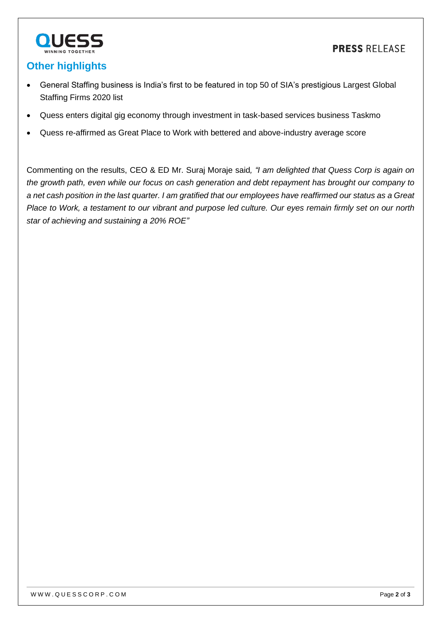



## **Other highlights**

- General Staffing business is India's first to be featured in top 50 of SIA's prestigious Largest Global Staffing Firms 2020 list
- Quess enters digital gig economy through investment in task-based services business Taskmo
- Quess re-affirmed as Great Place to Work with bettered and above-industry average score

Commenting on the results, CEO & ED Mr. Suraj Moraje said*, "I am delighted that Quess Corp is again on the growth path, even while our focus on cash generation and debt repayment has brought our company to a net cash position in the last quarter. I am gratified that our employees have reaffirmed our status as a Great Place to Work, a testament to our vibrant and purpose led culture. Our eyes remain firmly set on our north star of achieving and sustaining a 20% ROE"*